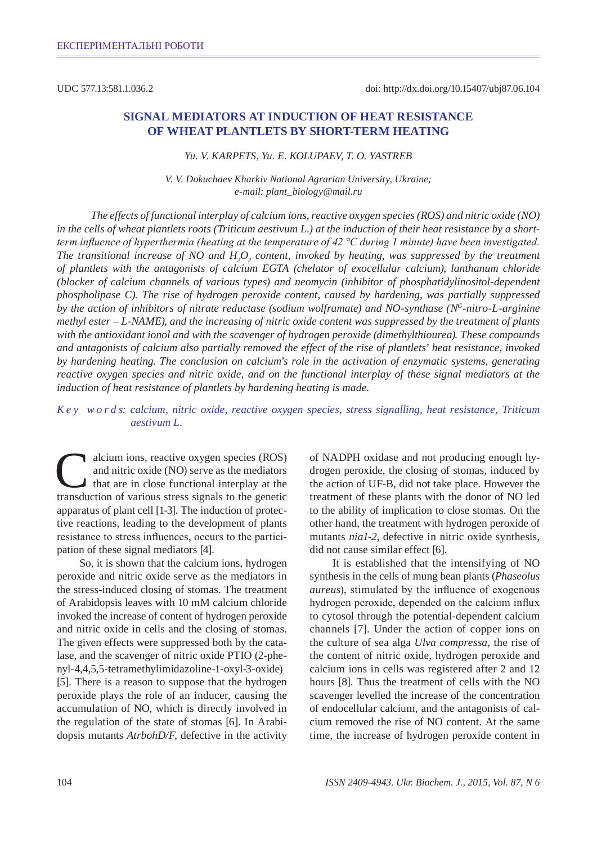UDC 577.13:581.1.036.2

# **Signal mediators at induction of heat resistance of wheat plantlets by short-term heating**

#### *Yu. V. Karpets, Yu. E. Kolupaev, T. O. Yastreb*

*V. V. Dokuchaev Kharkiv National Agrarian University, Ukraine; e-mail: plant\_biology@mail.ru*

*The effects of functional interplay of calcium ions, reactive oxygen species (RO S) and nitric oxide (NO) in the cells of wheat plantlets roots (Triticum aestivum L.) at the induction of their heat resistance by a shortterm influence of hyperthermia (heating at the temperature of 42 °С during 1 minute) have been investigated.*  The transitional increase of NO and  $H_2O_2$  content, invoked by heating, was suppressed by the treatment *of plantlets with the antagonists of calcium EGTA (chelator of exocellular calcium), lanthanum chloride (blocker of calcium channels of various types) and neomycin (inhibitor of phosphatidylinositol-dependent phospholipase C). The rise of hydrogen peroxide content, caused by hardening, was partially suppressed by the action of inhibitors of nitrate reductase (sodium wolframate) and NO-synthase (NG-nitro-L-arginine methyl ester – L-NAME), and the increasing of nitric oxide content was suppressed by the treatment of plants with the antioxidant ionol and with the scavenger of hydrogen peroxide (dimethylthiourea). These compounds and antagonists of calcium also partially removed the effect of the rise of plantlets' heat resistance, invoked by hardening heating. The conclusion on calcium's role in the activation of enzymatic systems, generating reactive oxygen species and nitric oxide, and on the functional interplay of these signal mediators at the induction of heat resistance of plantlets by hardening heating is made.* 

### *K e y w o r d s: calcium, nitric oxide, reactive oxygen species, stress signalling, heat resistance, Triticum aestivum L.*

alcium ions, reactive oxygen species (ROS) and nitric oxide (NO) serve as the mediators that are in close functional interplay at the transduction of various stress signals to the genetic apparatus of plant cell [1-3]. The induction of protective reactions, leading to the development of plants resistance to stress influences, occurs to the participation of these signal mediators [4].

So, it is shown that the calcium ions, hydrogen peroxide and nitric oxide serve as the mediators in the stress-induced closing of stomas. The treatment of Arabidopsis leaves with 10 mM calcium chloride invoked the increase of content of hydrogen peroxide and nitric oxide in cells and the closing of stomas. The given effects were suppressed both by the catalase, and the scavenger of nitric oxide PTIO (2-phenyl-4,4,5,5-tetramethylimidazoline-1-oxyl-3-oxide) [5]. There is a reason to suppose that the hydrogen peroxide plays the role of an inducer, causing the accumulation of NO, which is directly involved in the regulation of the state of stomas [6]. In Arabidopsis mutants *AtrbohD/F*, defective in the activity of NADPH oxidase and not producing enough hydrogen peroxide, the closing of stomas, induced by the action of UF-B, did not take place. However the treatment of these plants with the donor of NO led to the ability of implication to close stomas. On the other hand, the treatment with hydrogen peroxide of mutants *nia1-2*, defective in nitric oxide synthesis, did not cause similar effect [6].

It is established that the intensifying of NO synthesis in the cells of mung bean plants (*Phaseolus aureus*), stimulated by the influence of exogenous hydrogen peroxide, depended on the calcium influx to cytosol through the potential-dependent calcium channels [7]. Under the action of copper ions on the culture of sea alga *Ulva compressa*, the rise of the content of nitric oxide, hydrogen peroxide and calcium ions in cells was registered after 2 and 12 hours [8]. Thus the treatment of cells with the NO scavenger levelled the increase of the concentration of endocellular calcium, and the antagonists of calcium removed the rise of NO content. At the same time, the increase of hydrogen peroxide content in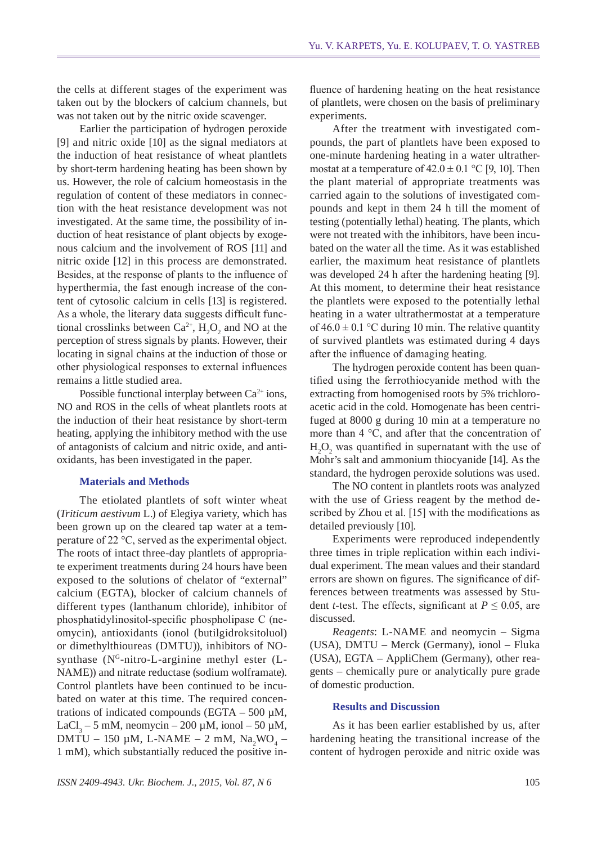the cells at different stages of the experiment was taken out by the blockers of calcium channels, but was not taken out by the nitric oxide scavenger.

Earlier the participation of hydrogen peroxide [9] and nitric oxide [10] as the signal mediators at the induction of heat resistance of wheat plantlets by short-term hardening heating has been shown by us. However, the role of calcium homeostasis in the regulation of content of these mediators in connection with the heat resistance development was not investigated. At the same time, the possibility of induction of heat resistance of plant objects by exogenous calcium and the involvement of ROS [11] and nitric oxide [12] in this process are demonstrated. Besides, at the response of plants to the influence of hyperthermia, the fast enough increase of the content of cytosolic calcium in cells [13] is registered. As a whole, the literary data suggests difficult functional crosslinks between  $Ca^{2+}$ ,  $H_2O_2$  and NO at the perception of stress signals by plants. However, their locating in signal chains at the induction of those or other physiological responses to external influences remains a little studied area.

Possible functional interplay between  $Ca^{2+}$  ions, NO and ROS in the cells of wheat plantlets roots at the induction of their heat resistance by short-term heating, applying the inhibitory method with the use of antagonists of calcium and nitric oxide, and antioxidants, has been investigated in the paper.

#### **Materials and Methods**

The etiolated plantlets of soft winter wheat (*Triticum aestivum* L.) of Elegiya variety, which has been grown up on the cleared tap water at a temperature of 22 °С, served as the experimental object. The roots of intact three-day plantlets of appropriate experiment treatments during 24 hours have been exposed to the solutions of chelator of "external" calcium (EGTA), blocker of calcium channels of different types (lanthanum chloride), inhibitor of phosphatidylinositol-specific phospholipase C (neomycin), antioxidants (ionol (butilgidroksitoluol) or dimethylthioureas (DMTU)), inhibitors of NOsynthase (N<sup>G</sup>-nitro-L-arginine methyl ester (L-NAME)) and nitrate reductase (sodium wolframate). Control plantlets have been continued to be incubated on water at this time. The required concentrations of indicated compounds (EGTA – 500  $\mu$ M, LaCl<sub>3</sub> – 5 mM, neomycin – 200 µM, ionol – 50 µM,  $DMTU - 150 \mu M$ , L-NAME – 2 mM, Na<sub>2</sub>WO<sub>4</sub> – 1 mM), which substantially reduced the positive in-

fluence of hardening heating on the heat resistance of plantlets, were chosen on the basis of preliminary experiments.

After the treatment with investigated compounds, the part of plantlets have been exposed to one-minute hardening heating in a water ultrathermostat at a temperature of  $42.0 \pm 0.1$  °C [9, 10]. Then the plant material of appropriate treatments was carried again to the solutions of investigated compounds and kept in them 24 h till the moment of testing (potentially lethal) heating. The plants, which were not treated with the inhibitors, have been incubated on the water all the time. As it was established earlier, the maximum heat resistance of plantlets was developed 24 h after the hardening heating [9]. At this moment, to determine their heat resistance the plantlets were exposed to the potentially lethal heating in a water ultrathermostat at a temperature of  $46.0 \pm 0.1$  °C during 10 min. The relative quantity of survived plantlets was estimated during 4 days after the influence of damaging heating.

The hydrogen peroxide content has been quantified using the ferrothiocyanide method with the extracting from homogenised roots by 5% trichloroacetic acid in the cold. Homogenate has been centrifuged at 8000 g during 10 min at a temperature no more than 4 °С, and after that the concentration of  $H_2O_2$  was quantified in supernatant with the use of Mohr's salt and ammonium thiocyanide [14]. As the standard, the hydrogen peroxide solutions was used.

The NO content in plantlets roots was analyzed with the use of Griess reagent by the method described by Zhou et al. [15] with the modifications as detailed previously [10].

Experiments were reproduced independently three times in triple replication within each individual experiment. The mean values and their standard errors are shown on figures. The significance of differences between treatments was assessed by Student *t*-test. The effects, significant at  $P \le 0.05$ , are discussed.

*Reagents*: L-NAME and neomycin – Sigma (USA), DMTU – Merck (Germany), ionol – Fluka (USA), EGTA – AppliChem (Germany), other reagents – chemically pure or analytically pure grade of domestic production.

#### **Results and Discussion**

As it has been earlier established by us, after hardening heating the transitional increase of the content of hydrogen peroxide and nitric oxide was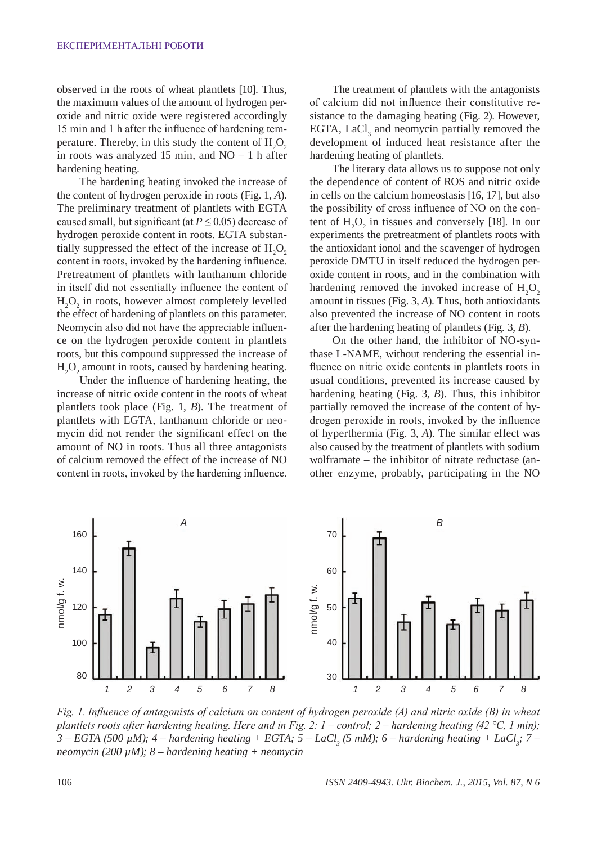observed in the roots of wheat plantlets [10]. Thus, the maximum values of the amount of hydrogen peroxide and nitric oxide were registered accordingly 15 min and 1 h after the influence of hardening temperature. Thereby, in this study the content of  $H_2O_2$ in roots was analyzed 15 min, and NO – 1 h after hardening heating.

The hardening heating invoked the increase of the content of hydrogen peroxide in roots (Fig. 1, *A*). The preliminary treatment of plantlets with EGTA caused small, but significant (at  $P \leq 0.05$ ) decrease of hydrogen peroxide content in roots. EGTA substantially suppressed the effect of the increase of  $H_2O_2$ content in roots, invoked by the hardening influence. Pretreatment of plantlets with lanthanum chloride in itself did not essentially influence the content of  $H_2O_2$  in roots, however almost completely levelled the effect of hardening of plantlets on this parameter. Neomycin also did not have the appreciable influence on the hydrogen peroxide content in plantlets roots, but this compound suppressed the increase of  $H_2O_2$  amount in roots, caused by hardening heating.

Under the influence of hardening heating, the increase of nitric oxide content in the roots of wheat plantlets took place (Fig. 1, *B*). The treatment of plantlets with EGTA, lanthanum chloride or neomycin did not render the significant effect on the amount of NO in roots. Thus all three antagonists of calcium removed the effect of the increase of NO content in roots, invoked by the hardening influence.

The treatment of plantlets with the antagonists of calcium did not influence their constitutive resistance to the damaging heating (Fig. 2). However, EGTA,  $LaCl<sub>3</sub>$  and neomycin partially removed the development of induced heat resistance after the hardening heating of plantlets.

The literary data allows us to suppose not only the dependence of content of ROS and nitric oxide in cells on the calcium homeostasis [16, 17], but also the possibility of cross influence of NO on the content of  $H_2O_2$  in tissues and conversely [18]. In our experiments the pretreatment of plantlets roots with the antioxidant ionol and the scavenger of hydrogen peroxide DMTU in itself reduced the hydrogen peroxide content in roots, and in the combination with hardening removed the invoked increase of  $H_2O_2$ amount in tissues (Fig. 3, *A*). Thus, both antioxidants also prevented the increase of NO content in roots after the hardening heating of plantlets (Fig. 3, *B*).

On the other hand, the inhibitor of NO-synthase L-NAME, without rendering the essential influence on nitric oxide contents in plantlets roots in usual conditions, prevented its increase caused by hardening heating (Fig. 3, *B*). Thus, this inhibitor partially removed the increase of the content of hydrogen peroxide in roots, invoked by the influence of hyperthermia (Fig. 3, *A*). The similar effect was also caused by the treatment of plantlets with sodium wolframate – the inhibitor of nitrate reductase (another enzyme, probably, participating in the NO



*Fig. 1. Influence of antagonists of calcium on content of hydrogen peroxide (A) and nitric oxide (B) in wheat plantlets roots after hardening heating. Here and in Fig. 2: 1 – control; 2 – hardening heating (42 °С, 1 min); 3* – EGTA (500  $\mu$ M); 4 – hardening heating + EGTA; 5 – LaCl<sub>3</sub> (5 mM); 6 – hardening heating + LaCl<sub>3</sub>; 7 – *neomycin (200 µM); 8 – hardening heating + neomycin*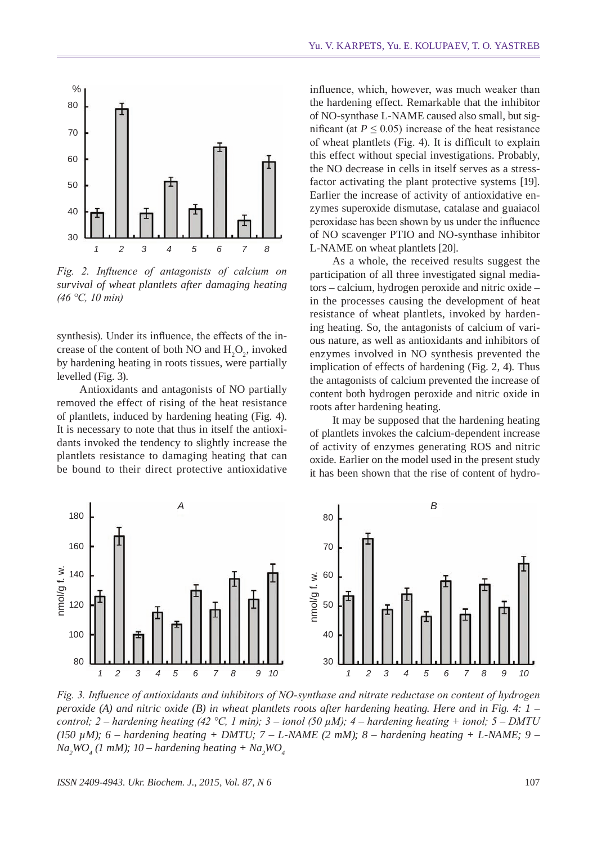

*Fig. 2. Influence of antagonists of calcium on survival of wheat plantlets after damaging heating (46 °С, 10 min)*

synthesis). Under its influence, the effects of the increase of the content of both NO and  $H_2O_2$ , invoked by hardening heating in roots tissues, were partially levelled (Fig. 3).

Antioxidants and antagonists of NO partially removed the effect of rising of the heat resistance of plantlets, induced by hardening heating (Fig. 4). It is necessary to note that thus in itself the antioxidants invoked the tendency to slightly increase the plantlets resistance to damaging heating that can be bound to their direct protective antioxidative

influence, which, however, was much weaker than the hardening effect. Remarkable that the inhibitor of NO-synthase L-NAME caused also small, but significant (at  $P \le 0.05$ ) increase of the heat resistance of wheat plantlets (Fig. 4). It is difficult to explain this effect without special investigations. Probably, the NO decrease in cells in itself serves as a stressfactor activating the plant protective systems [19]. Earlier the increase of activity of antioxidative enzymes superoxide dismutase, catalase and guaiacol peroxidase has been shown by us under the influence of NO scavenger PTIO and NO-synthase inhibitor L-NAME on wheat plantlets [20].

As a whole, the received results suggest the participation of all three investigated signal mediators – calcium, hydrogen peroxide and nitric oxide – in the processes causing the development of heat resistance of wheat plantlets, invoked by hardening heating. So, the antagonists of calcium of various nature, as well as antioxidants and inhibitors of enzymes involved in NO synthesis prevented the implication of effects of hardening (Fig. 2, 4). Thus the antagonists of calcium prevented the increase of content both hydrogen peroxide and nitric oxide in roots after hardening heating.

It may be supposed that the hardening heating of plantlets invokes the calcium-dependent increase of activity of enzymes generating ROS and nitric oxide. Earlier on the model used in the present study it has been shown that the rise of content of hydro-



*Fig. 3. Influence of antioxidants and inhibitors of NO-synthase and nitrate reductase on content of hydrogen peroxide (A) and nitric oxide (B) in wheat plantlets roots after hardening heating. Here and in Fig. 4: 1 – control; 2 – hardening heating (42 °C, 1 min); 3 – ionol (50*  $\mu$ *M); 4 – hardening heating + ionol; 5 – DMTU* (150  $\mu$ M); 6 – hardening heating + DMTU; 7 – L-NAME (2 mM); 8 – hardening heating + L-NAME; 9 –  $Na<sub>2</sub>WO<sub>4</sub>$  (1 mM); 10 – hardening heating +  $Na<sub>2</sub>WO<sub>4</sub>$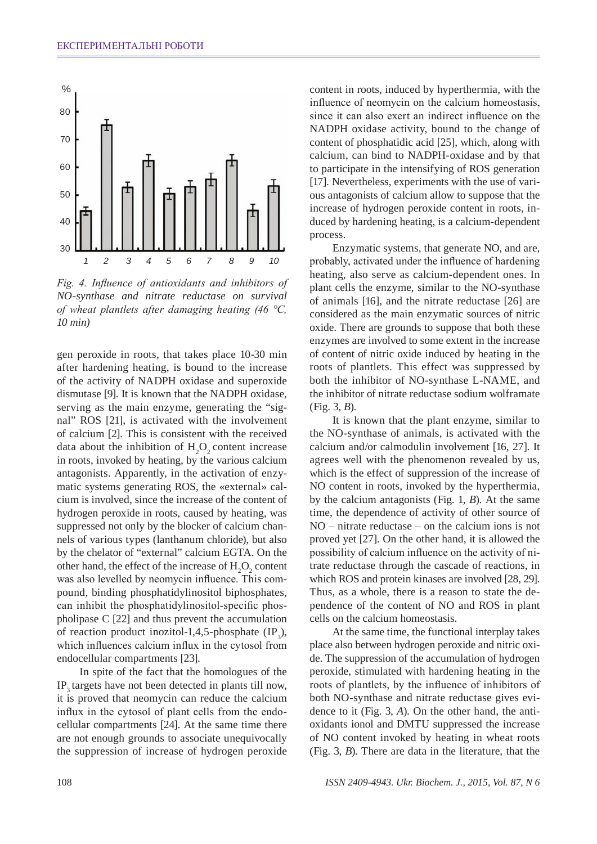

*Fig. 4. Influence of antioxidants and inhibitors of NO-synthase and nitrate reductase on survival of wheat plantlets after damaging heating (46 °С, 10 min)*

gen peroxide in roots, that takes place 10-30 min after hardening heating, is bound to the increase of the activity of NADPH oxidase and superoxide dismutase [9]. It is known that the NADPH oxidase, serving as the main enzyme, generating the "signal" ROS [21], is activated with the involvement of calcium [2]. This is consistent with the received data about the inhibition of  $H_2O_2$  content increase in roots, invoked by heating, by the various calcium antagonists. Apparently, in the activation of enzymatic systems generating ROS, the «external» calcium is involved, since the increase of the content of hydrogen peroxide in roots, caused by heating, was suppressed not only by the blocker of calcium channels of various types (lanthanum chloride), but also by the chelator of "external" calcium EGTA. On the other hand, the effect of the increase of  $H_2O_2$  content was also levelled by neomycin influence. This compound, binding phosphatidylinositol biphosphates, can inhibit the phosphatidylinositol-specific phospholipase C [22] and thus prevent the accumulation of reaction product inozitol-1,4,5-phosphate  $(\text{IP}_3)$ , which influences calcium influx in the cytosol from endocellular compartments [23].

In spite of the fact that the homologues of the IP<sub>2</sub> targets have not been detected in plants till now, it is proved that neomycin can reduce the calcium influx in the cytosol of plant cells from the endocellular compartments [24]. At the same time there are not enough grounds to associate unequivocally the suppression of increase of hydrogen peroxide

content in roots, induced by hyperthermia, with the influence of neomycin on the calcium homeostasis, since it can also exert an indirect influence on the NADPH oxidase activity, bound to the change of content of phosphatidic acid [25], which, along with calcium, can bind to NADPH-oxidase and by that to participate in the intensifying of ROS generation [17]. Nevertheless, experiments with the use of various antagonists of calcium allow to suppose that the increase of hydrogen peroxide content in roots, induced by hardening heating, is a calcium-dependent process.

Enzymatic systems, that generate NO, and are, probably, activated under the influence of hardening heating, also serve as calcium-dependent ones. In plant cells the enzyme, similar to the NO-synthase of animals [16], and the nitrate reductase [26] are considered as the main enzymatic sources of nitric oxide. There are grounds to suppose that both these enzymes are involved to some extent in the increase of content of nitric oxide induced by heating in the roots of plantlets. This effect was suppressed by both the inhibitor of NO-synthase L-NAME, and the inhibitor of nitrate reductase sodium wolframate (Fig. 3, *B*).

It is known that the plant enzyme, similar to the NO-synthase of animals, is activated with the calcium and/or calmodulin involvement [16, 27]. It agrees well with the phenomenon revealed by us, which is the effect of suppression of the increase of NO content in roots, invoked by the hyperthermia, by the calcium antagonists (Fig. 1, *B*). At the same time, the dependence of activity of other source of NO – nitrate reductase – on the calcium ions is not proved yet [27]. On the other hand, it is allowed the possibility of calcium influence on the activity of nitrate reductase through the cascade of reactions, in which ROS and protein kinases are involved [28, 29]. Thus, as a whole, there is a reason to state the dependence of the content of NO and ROS in plant cells on the calcium homeostasis.

At the same time, the functional interplay takes place also between hydrogen peroxide and nitric oxide. The suppression of the accumulation of hydrogen peroxide, stimulated with hardening heating in the roots of plantlets, by the influence of inhibitors of both NO-synthase and nitrate reductase gives evidence to it (Fig. 3, *A*). On the other hand, the antioxidants ionol and DMTU suppressed the increase of NO content invoked by heating in wheat roots (Fig. 3, *B*). There are data in the literature, that the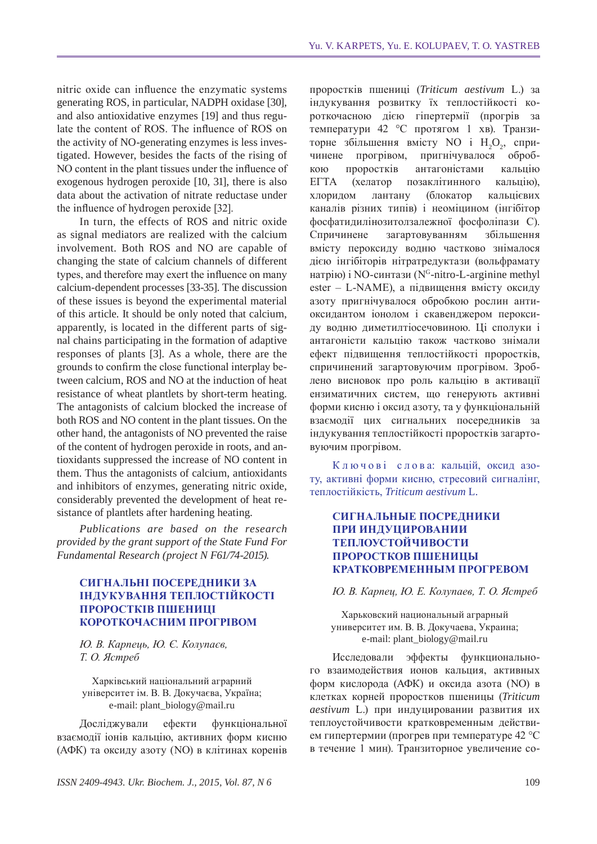nitric oxide can influence the enzymatic systems generating ROS, in particular, NADPH oxidase [30], and also antioxidative enzymes [19] and thus regulate the content of ROS. The influence of ROS on the activity of NO-generating enzymes is less investigated. However, besides the facts of the rising of NO content in the plant tissues under the influence of exogenous hydrogen peroxide [10, 31], there is also data about the activation of nitrate reductase under the influence of hydrogen peroxide [32].

In turn, the effects of ROS and nitric oxide as signal mediators are realized with the calcium involvement. Both ROS and NO are capable of changing the state of calcium channels of different types, and therefore may exert the influence on many calcium-dependent processes [33-35]. The discussion of these issues is beyond the experimental material of this article. It should be only noted that calcium, apparently, is located in the different parts of signal chains participating in the formation of adaptive responses of plants [3]. As a whole, there are the grounds to confirm the close functional interplay between calcium, ROS and NO at the induction of heat resistance of wheat plantlets by short-term heating. The antagonists of calcium blocked the increase of both ROS and NO content in the plant tissues. On the other hand, the antagonists of NO prevented the raise of the content of hydrogen peroxide in roots, and antioxidants suppressed the increase of NO content in them. Thus the antagonists of calcium, antioxidants and inhibitors of enzymes, generating nitric oxide, considerably prevented the development of heat resistance of plantlets after hardening heating.

*Publications are based on the research provided by the grant support of the State Fund For Fundamental Research (project N F61/74-2015).*

## **Сигнальні посередники за індукування теплостійкості проростків пшениці короткочасним прогрівом**

*Ю. В. Карпець, Ю. Є. Колупаєв, Т. О. Ястреб* 

Харківський національний аграрний університет ім. В. В. Докучаєва, Україна; e-mail: plant\_biology@mail.ru

Досліджували ефекти функціональної взаємодії іонів кальцію, активних форм кисню (АФК) та оксиду азоту (NO) в клітинах коренів

проростків пшениці (*Triticum aestivum* L.) за індукування розвитку їх теплостійкості короткочасною дією гіпертермії (прогрів за температури 42 °С протягом 1 хв). Транзиторне збільшення вмісту NO і  $H_2O_2$ , спричинене прогрівом, пригнічувалося обробкою проростків антагоністами кальцію ЕГТА (хелатор позаклітинного кальцію), хлоридом лантану (блокатор кальцієвих каналів різних типів) і неоміцином (інгібітор фосфатидилінозитолзалежної фосфоліпази С). Спричинене загартовуванням збільшення вмісту пероксиду водню частково знімалося дією інгібіторів нітратредуктази (вольфрамату натрію) і NO-синтази (N<sup>G</sup>-nitro-L-arginine methyl ester – L-NAME), а підвищення вмісту оксиду азоту пригнічувалося обробкою рослин антиоксидантом іонолом і скавенджером пероксиду водню диметилтіосечовиною. Ці сполуки і антагоністи кальцію також частково знімали ефект підвищення теплостійкості проростків, спричинений загартовуючим прогрівом. Зроблено висновок про роль кальцію в активації ензиматичних систем, що генерують активні форми кисню і оксид азоту, та у функціональній взаємодії цих сигнальних посередників за індукування теплостійкості проростків загартовуючим прогрівом.

Ключові слова: кальцій, оксид азоту, активні форми кисню, стресовий сигналінг, теплостійкість, *Triticum aestivum* L.

## **Сигнальные посредники при индуцировании теплоустойчивости проростков пшеницы кратковременным прогревом**

#### *Ю. В. Карпец, Ю. Е. Колупаев, Т. О. Ястреб*

Харьковский национальный аграрный университет им. В. В. Докучаева, Украина; e-mail: plant\_biology@mail.ru

Исследовали эффекты функционального взаимодействия ионов кальция, активных форм кислорода (АФК) и оксида азота (NO) в клетках корней проростков пшеницы (*Triticum aestivum* L.) при индуцировании развития их теплоустойчивости кратковременным действием гипертермии (прогрев при температуре 42 °С в течение 1 мин). Транзиторное увеличение со-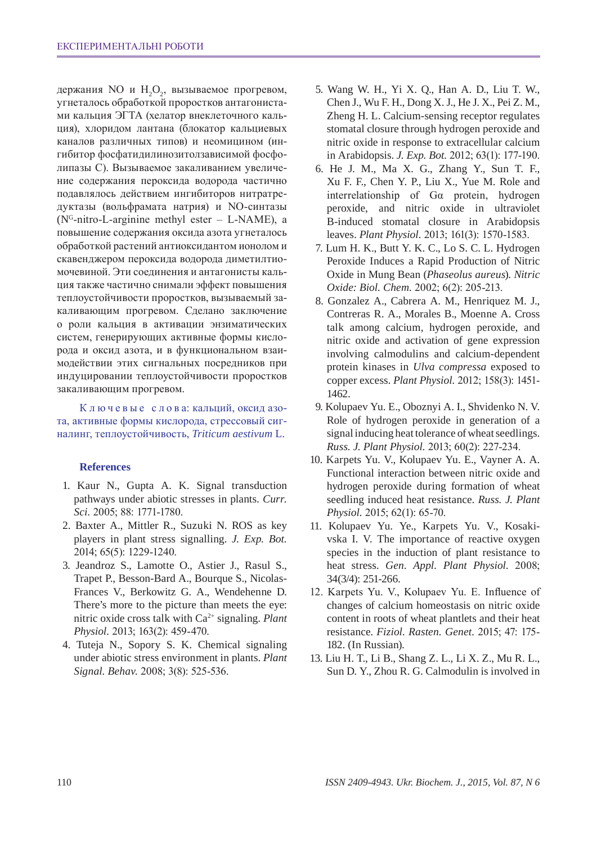держания NO и  $H_2O_2$ , вызываемое прогревом, угнеталось обработкой проростков антагонистами кальция ЭГТА (хелатор внеклеточного кальция), хлоридом лантана (блокатор кальциевых каналов различных типов) и неомицином (ингибитор фосфатидилинозитолзависимой фосфолипазы С). Вызываемое закаливанием увеличение содержания пероксида водорода частично подавлялось действием ингибиторов нитратредуктазы (вольфрамата натрия) и NO-синтазы  $(N<sup>G</sup>-nitro-L-arginine methyl ester – L-NAME), a$ повышение содержания оксида азота угнеталось обработкой растений антиоксидантом ионолом и скавенджером пероксида водорода диметилтиомочевиной. Эти соединения и антагонисты кальция также частично снимали эффект повышения теплоустойчивости проростков, вызываемый закаливающим прогревом. Сделано заключение о роли кальция в активации энзиматических систем, генерирующих активные формы кислорода и оксид азота, и в функциональном взаимодействии этих сигнальных посредников при индуцировании теплоустойчивости проростков закаливающим прогревом.

К л ю ч е в ы е с л о в а: кальций, оксид азота, активные формы кислорода, стрессовый сигналинг, теплоустойчивость, *Triticum aestivum* L.

#### **References**

- 1. Kaur N., Gupta A. K. Signal transduction pathways under abiotic stresses in plants. *Curr. Sci.* 2005; 88: 1771-1780.
- 2. Baxter A., Mittler R., Suzuki N. ROS as key players in plant stress signalling. *J. Exp. Bot.*  2014; 65(5): 1229-1240.
- 3. Jeandroz S., Lamotte O., Astier J., Rasul S., Trapet P., Besson-Bard A., Bourque S., Nicolas-Frances V., Berkowitz G. A., Wendehenne D. There's more to the picture than meets the eye: nitric oxide cross talk with Ca2+ signaling. *Plant Physiol.* 2013; 163(2): 459-470.
- 4. Tuteja N., Sopory S. K. Chemical signaling under abiotic stress environment in plants. *Plant Signal. Behav.* 2008; 3(8): 525-536.
- 5. Wang W. H., Yi X. Q., Han A. D., Liu T. W., Chen J., Wu F. H., Dong X. J., He J. X., Pei Z. M., Zheng H. L. Calcium-sensing receptor regulates stomatal closure through hydrogen peroxide and nitric oxide in response to extracellular calcium in Arabidopsis. *J. Exp. Bot.* 2012; 63(1): 177-190.
- 6. He J. M., Ma X. G., Zhang Y., Sun T. F., Xu F. F., Chen Y. P., Liu X., Yue M. Role and interrelationship of Gα protein, hydrogen peroxide, and nitric oxide in ultraviolet B-induced stomatal closure in Arabidopsis leaves. *Plant Physiol.* 2013; 161(3): 1570-1583.
- 7. Lum H. K., Butt Y. K. C., Lo S. C. L. Hydrogen Peroxide Induces a Rapid Production of Nitric Oxide in Mung Bean (*Phaseolus aureus*). *Nitric Oxide: Biol. Chem.* 2002; 6(2): 205-213.
- 8. Gonzalez A., Cabrera A. M., Henriquez M. J., Contreras R. A., Morales B., Moenne A. Cross talk among calcium, hydrogen peroxide, and nitric oxide and activation of gene expression involving calmodulins and calcium-dependent protein kinases in *Ulva compressa* exposed to copper excess. *Plant Physiol.* 2012; 158(3): 1451- 1462.
- 9. Kolupaev Yu. E., Oboznyi A. I., Shvidenko N. V. Role of hydrogen peroxide in generation of a signal inducing heat tolerance of wheat seedlings. *Russ. J. Plant Physiol.* 2013; 60(2): 227-234.
- 10. Karpets Yu. V., Kolupaev Yu. E., Vayner A. A. Functional interaction between nitric oxide and hydrogen peroxide during formation of wheat seedling induced heat resistance. *Russ. J. Plant Physiol.* 2015; 62(1): 65-70.
- 11. Kolupaev Yu. Ye., Karpets Yu. V., Kosakivska I. V. The importance of reactive oxygen species in the induction of plant resistance to heat stress. *Gen. Appl. Plant Physiol.* 2008; 34(3/4): 251-266.
- 12. Karpets Yu. V., Kolupaev Yu. E. Influence of changes of calcium homeostasis on nitric oxide content in roots of wheat plantlets and their heat resistance. *Fiziol. Rasten. Genet.* 2015; 47: 175- 182. (In Russian).
- 13. Liu H. T., Li B., Shang Z. L., Li X. Z., Mu R. L., Sun D. Y., Zhou R. G. Calmodulin is involved in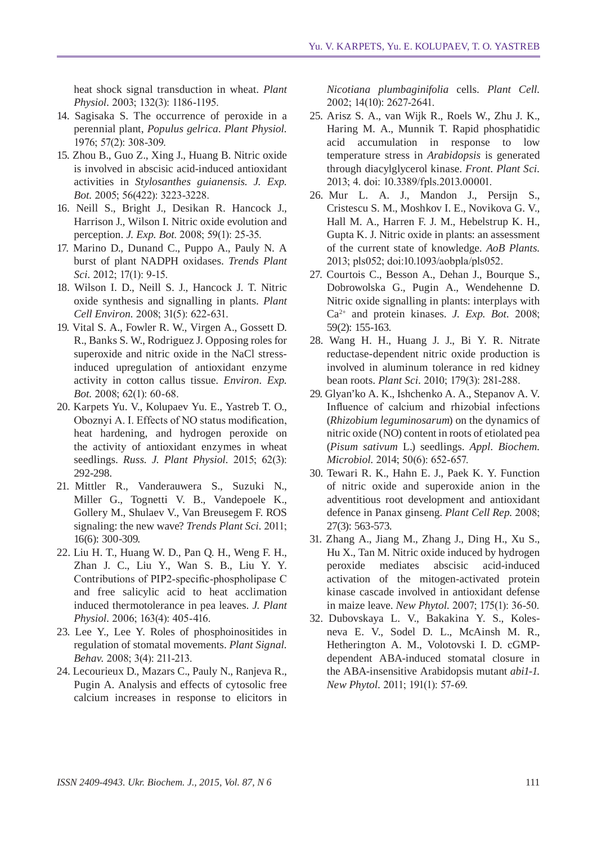heat shock signal transduction in wheat. *Plant Physiol.* 2003; 132(3): 1186-1195.

- 14. Sagisaka S. The occurrence of peroxide in a perennial plant, *Populus gelrica*. *Plant Physiol.*  1976; 57(2): 308-309.
- 15. Zhou B., Guo Z., Xing J., Huang B. Nitric oxide is involved in abscisic acid-induced antioxidant activities in *Stylosanthes guianensis*. *J. Exp. Bot.* 2005; 56(422): 3223-3228.
- 16. Neill S., Bright J., Desikan R. Hancock J., Harrison J., Wilson I. Nitric oxide evolution and perception. *J. Exp. Bot*. 2008; 59(1): 25-35.
- 17. Marino D., Dunand C., Puppo A., Pauly N. A burst of plant NADPH oxidases. *Trends Plant Sci.* 2012; 17(1): 9-15.
- 18. Wilson I. D., Neill S. J., Hancock J. T. Nitric oxide synthesis and signalling in plants. *Plant Cell Environ.* 2008; 31(5): 622-631.
- 19. Vital S. A., Fowler R. W., Virgen A., Gossett D. R., Banks S. W., Rodriguez J. Opposing roles for superoxide and nitric oxide in the NaCl stressinduced upregulation of antioxidant enzyme activity in cotton callus tissue. *Environ. Exp. Bot.* 2008; 62(1): 60-68.
- 20. Karpets Yu. V., Kolupaev Yu. E., Yastreb T. O., Oboznyi A. I. Effects of NO status modification, heat hardening, and hydrogen peroxide on the activity of antioxidant enzymes in wheat seedlings. *Russ. J. Plant Physiol.* 2015; 62(3): 292-298.
- 21. Mittler R., Vanderauwera S., Suzuki N., Miller G., Tognetti V. B., Vandepoele K., Gollery M., Shulaev V., Van Breusegem F. ROS signaling: the new wave? *Trends Plant Sci.* 2011; 16(6): 300-309.
- 22. Liu H. T., Huang W. D., Pan Q. H., Weng F. H., Zhan J. C., Liu Y., Wan S. B., Liu Y. Y. Contributions of PIP2-specific-phospholipase C and free salicylic acid to heat acclimation induced thermotolerance in pea leaves. *J. Plant Physiol.* 2006; 163(4): 405-416.
- 23. Lee Y., Lee Y. Roles of phosphoinositides in regulation of stomatal movements. *Plant Signal. Behav.* 2008; 3(4): 211-213.
- 24. Lecourieux D., Mazars C., Pauly N., Ranjeva R., Pugin A. Analysis and effects of cytosolic free calcium increases in response to elicitors in

*Nicotiana plumbaginifolia* cells. *Plant Cell.*  2002; 14(10): 2627-2641.

- 25. Arisz S. A., van Wijk R., Roels W., Zhu J. K., Haring M. A., Munnik T. Rapid phosphatidic acid accumulation in response to low temperature stress in *Arabidopsis* is generated through diacylglycerol kinase. *Front. Plant Sci.*  2013; 4. doi: 10.3389/fpls.2013.00001.
- 26. Mur L. A. J., Mandon J., Persijn S., Cristescu S. M., Moshkov I. E., Novikova G. V., Hall M. A., Harren F. J. M., Hebelstrup K. H., Gupta K. J. Nitric oxide in plants: an assessment of the current state of knowledge. *AoB Plants.* 2013; pls052; doi:10.1093/aobpla/pls052.
- 27. Courtois C., Besson A., Dehan J., Bourque S., Dobrowolska G., Pugin A., Wendehenne D. Nitric oxide signalling in plants: interplays with Ca2+ and protein kinases. *J. Exp. Bot.* 2008; 59(2): 155-163.
- 28. Wang H. H., Huang J. J., Bi Y. R. Nitrate reductase-dependent nitric oxide production is involved in aluminum tolerance in red kidney bean roots. *Plant Sci.* 2010; 179(3): 281-288.
- 29. Glyan'ko A. K., Ishchenko A. A., Stepanov A. V. Influence of calcium and rhizobial infections (*Rhizobium leguminosarum*) on the dynamics of nitric oxide (NO) content in roots of etiolated pea (*Pisum sativum* L.) seedlings. *Appl. Biochem. Microbiol.* 2014; 50(6): 652-657.
- 30. Tewari R. K., Hahn E. J., Paek K. Y. Function of nitric oxide and superoxide anion in the adventitious root development and antioxidant defence in Panax ginseng. *Plant Cell Rep.* 2008; 27(3): 563-573.
- 31. Zhang A., Jiang M., Zhang J., Ding H., Xu S., Hu X., Tan M. Nitric oxide induced by hydrogen peroxide mediates abscisic acid-induced activation of the mitogen-activated protein kinase cascade involved in antioxidant defense in maize leave. *New Phytol.* 2007; 175(1): 36-50.
- 32. Dubovskaya L. V., Bakakina Y. S., Kolesneva E. V., Sodel D. L., McAinsh M. R., Hetherington A. M., Volotovski I. D. cGMPdependent ABA-induced stomatal closure in the ABA-insensitive Arabidopsis mutant *abi1-1. New Phytol.* 2011; 191(1): 57-69.